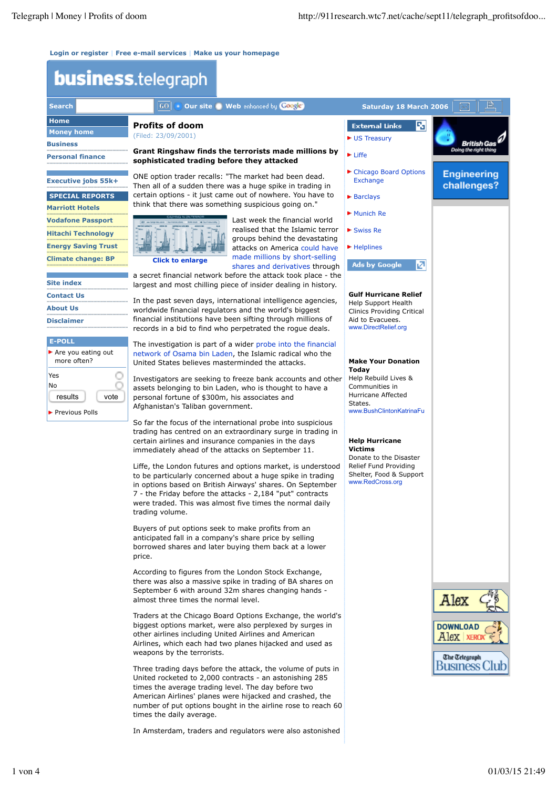**Login or register** | **Free e-mail services** | **Make us your homepage**

## **business.telegraph**

| <b>Search</b>                                           | GO<br><b>Our site Co Web</b> enhanced by <b>Google</b>                                                                                                                                                                                                                                                                                | Saturday 18 March 2006                                                                                                               |
|---------------------------------------------------------|---------------------------------------------------------------------------------------------------------------------------------------------------------------------------------------------------------------------------------------------------------------------------------------------------------------------------------------|--------------------------------------------------------------------------------------------------------------------------------------|
| Home                                                    | <b>Profits of doom</b>                                                                                                                                                                                                                                                                                                                | ۰,<br><b>External Links</b>                                                                                                          |
| <b>Money home</b>                                       | (Filed: 23/09/2001)                                                                                                                                                                                                                                                                                                                   | US Treasury                                                                                                                          |
| <b>Business</b><br><b>Personal finance</b>              | Grant Ringshaw finds the terrorists made millions by<br>sophisticated trading before they attacked                                                                                                                                                                                                                                    | Doing the right thing<br><b>Liffe</b>                                                                                                |
| <b>Executive jobs 55k+</b>                              | ONE option trader recalls: "The market had been dead.<br>Then all of a sudden there was a huge spike in trading in                                                                                                                                                                                                                    | ► Chicago Board Options<br><b>Engineering</b><br>Exchange<br>challenges?                                                             |
| <b>SPECIAL REPORTS</b>                                  | certain options - it just came out of nowhere. You have to<br>think that there was something suspicious going on."                                                                                                                                                                                                                    | <b>Barclays</b>                                                                                                                      |
| <b>Marriott Hotels</b><br><b>Vodafone Passport</b>      | Last week the financial world                                                                                                                                                                                                                                                                                                         | Munich Re                                                                                                                            |
| <b>Hitachi Technology</b><br><b>Energy Saving Trust</b> | realised that the Islamic terror<br>groups behind the devastating                                                                                                                                                                                                                                                                     | ► Swiss Re                                                                                                                           |
| <b>Climate change: BP</b>                               | attacks on America could have<br>made millions by short-selling<br><b>Click to enlarge</b><br>shares and derivatives through                                                                                                                                                                                                          | Helplines<br>ø<br>Ads by Google                                                                                                      |
| <b>Site index</b>                                       | a secret financial network before the attack took place - the<br>largest and most chilling piece of insider dealing in history.                                                                                                                                                                                                       |                                                                                                                                      |
| Contact Us                                              | In the past seven days, international intelligence agencies,<br>worldwide financial regulators and the world's biggest<br>financial institutions have been sifting through millions of<br>records in a bid to find who perpetrated the roque deals.                                                                                   | <b>Gulf Hurricane Relief</b><br>Help Support Health<br><b>Clinics Providing Critical</b><br>Aid to Evacuees.<br>www.DirectRelief.org |
| About Us<br><b>Disclaimer</b>                           |                                                                                                                                                                                                                                                                                                                                       |                                                                                                                                      |
| <b>E-POLL</b><br>Are you eating out<br>more often?      | The investigation is part of a wider probe into the financial<br>network of Osama bin Laden, the Islamic radical who the<br>United States believes masterminded the attacks.                                                                                                                                                          | <b>Make Your Donation</b>                                                                                                            |
| Yes<br>No<br>results<br>vote<br>Previous Polls          | Investigators are seeking to freeze bank accounts and other<br>assets belonging to bin Laden, who is thought to have a<br>personal fortune of \$300m, his associates and<br>Afghanistan's Taliban government.                                                                                                                         | Today<br>Help Rebuild Lives &<br>Communities in<br>Hurricane Affected<br>States.<br>www.BushClintonKatrinaFu                         |
|                                                         | So far the focus of the international probe into suspicious<br>trading has centred on an extraordinary surge in trading in<br>certain airlines and insurance companies in the days<br>immediately ahead of the attacks on September 11.                                                                                               | <b>Help Hurricane</b><br>Victims                                                                                                     |
|                                                         | Liffe, the London futures and options market, is understood<br>to be particularly concerned about a huge spike in trading<br>in options based on British Airways' shares. On September<br>7 - the Friday before the attacks - 2,184 "put" contracts<br>were traded. This was almost five times the normal daily<br>trading volume.    | Donate to the Disaster<br>Relief Fund Providing<br>Shelter, Food & Support<br>www.RedCross.org                                       |
|                                                         | Buyers of put options seek to make profits from an<br>anticipated fall in a company's share price by selling<br>borrowed shares and later buying them back at a lower<br>price.                                                                                                                                                       |                                                                                                                                      |
|                                                         | According to figures from the London Stock Exchange,<br>there was also a massive spike in trading of BA shares on<br>September 6 with around 32m shares changing hands -<br>almost three times the normal level.                                                                                                                      | Alex                                                                                                                                 |
|                                                         | Traders at the Chicago Board Options Exchange, the world's<br>biggest options market, were also perplexed by surges in<br>other airlines including United Airlines and American<br>Airlines, which each had two planes hijacked and used as<br>weapons by the terrorists.                                                             | <b>DOWNLOAD</b><br>$\overline{A}$ lex<br><b>The Telegraph</b>                                                                        |
|                                                         | Three trading days before the attack, the volume of puts in<br>United rocketed to 2,000 contracts - an astonishing 285<br>times the average trading level. The day before two<br>American Airlines' planes were hijacked and crashed, the<br>number of put options bought in the airline rose to reach 60<br>times the daily average. | <b>HSINESS</b>                                                                                                                       |
|                                                         | In Amsterdam, traders and regulators were also astonished                                                                                                                                                                                                                                                                             |                                                                                                                                      |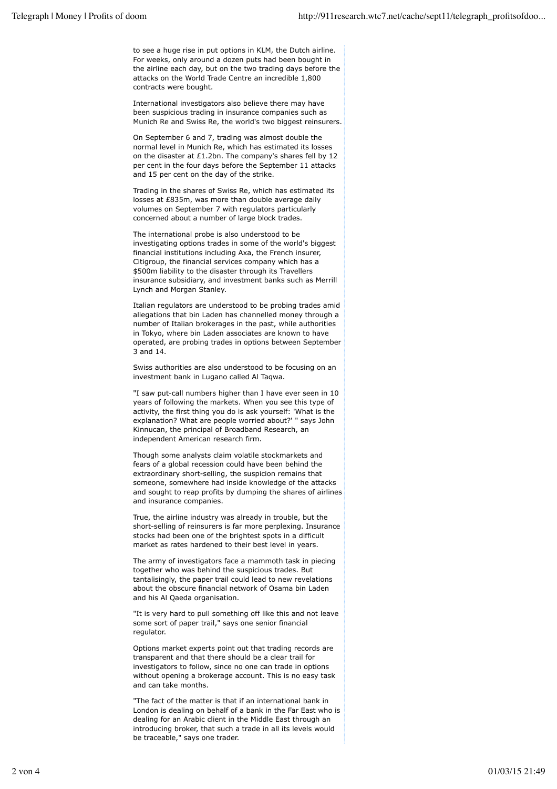to see a huge rise in put options in KLM, the Dutch airline. For weeks, only around a dozen puts had been bought in the airline each day, but on the two trading days before the attacks on the World Trade Centre an incredible 1,800 contracts were bought.

International investigators also believe there may have been suspicious trading in insurance companies such as Munich Re and Swiss Re, the world's two biggest reinsurers.

On September 6 and 7, trading was almost double the normal level in Munich Re, which has estimated its losses on the disaster at £1.2bn. The company's shares fell by 12 per cent in the four days before the September 11 attacks and 15 per cent on the day of the strike.

Trading in the shares of Swiss Re, which has estimated its losses at £835m, was more than double average daily volumes on September 7 with regulators particularly concerned about a number of large block trades.

The international probe is also understood to be investigating options trades in some of the world's biggest financial institutions including Axa, the French insurer, Citigroup, the financial services company which has a \$500m liability to the disaster through its Travellers insurance subsidiary, and investment banks such as Merrill Lynch and Morgan Stanley.

Italian regulators are understood to be probing trades amid allegations that bin Laden has channelled money through a number of Italian brokerages in the past, while authorities in Tokyo, where bin Laden associates are known to have operated, are probing trades in options between September 3 and 14.

Swiss authorities are also understood to be focusing on an investment bank in Lugano called Al Taqwa.

"I saw put-call numbers higher than I have ever seen in 10 years of following the markets. When you see this type of activity, the first thing you do is ask yourself: 'What is the explanation? What are people worried about?' " says John Kinnucan, the principal of Broadband Research, an independent American research firm.

Though some analysts claim volatile stockmarkets and fears of a global recession could have been behind the extraordinary short-selling, the suspicion remains that someone, somewhere had inside knowledge of the attacks and sought to reap profits by dumping the shares of airlines and insurance companies.

True, the airline industry was already in trouble, but the short-selling of reinsurers is far more perplexing. Insurance stocks had been one of the brightest spots in a difficult market as rates hardened to their best level in years.

The army of investigators face a mammoth task in piecing together who was behind the suspicious trades. But tantalisingly, the paper trail could lead to new revelations about the obscure financial network of Osama bin Laden and his Al Qaeda organisation.

"It is very hard to pull something off like this and not leave some sort of paper trail," says one senior financial regulator.

Options market experts point out that trading records are transparent and that there should be a clear trail for investigators to follow, since no one can trade in options without opening a brokerage account. This is no easy task and can take months.

"The fact of the matter is that if an international bank in London is dealing on behalf of a bank in the Far East who is dealing for an Arabic client in the Middle East through an introducing broker, that such a trade in all its levels would be traceable," says one trader.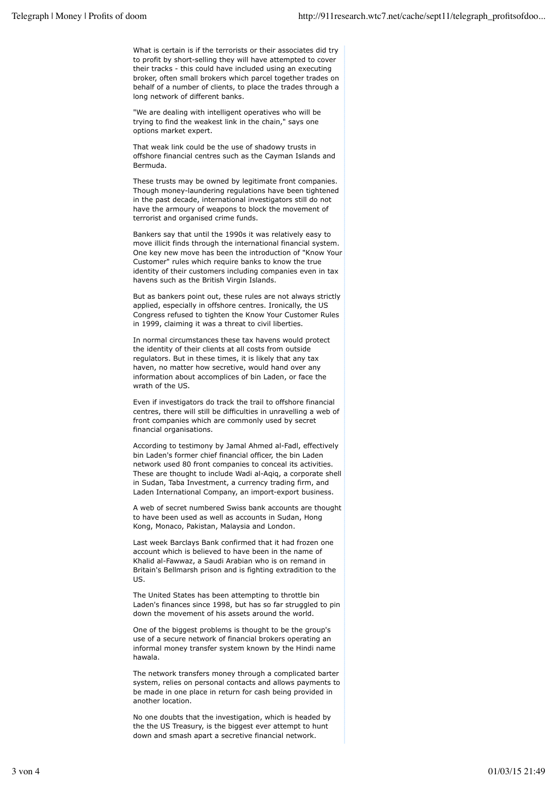What is certain is if the terrorists or their associates did try to profit by short-selling they will have attempted to cover their tracks - this could have included using an executing broker, often small brokers which parcel together trades on behalf of a number of clients, to place the trades through a long network of different banks.

"We are dealing with intelligent operatives who will be trying to find the weakest link in the chain," says one options market expert.

That weak link could be the use of shadowy trusts in offshore financial centres such as the Cayman Islands and Bermuda.

These trusts may be owned by legitimate front companies. Though money-laundering regulations have been tightened in the past decade, international investigators still do not have the armoury of weapons to block the movement of terrorist and organised crime funds.

Bankers say that until the 1990s it was relatively easy to move illicit finds through the international financial system. One key new move has been the introduction of "Know Your Customer" rules which require banks to know the true identity of their customers including companies even in tax havens such as the British Virgin Islands.

But as bankers point out, these rules are not always strictly applied, especially in offshore centres. Ironically, the US Congress refused to tighten the Know Your Customer Rules in 1999, claiming it was a threat to civil liberties.

In normal circumstances these tax havens would protect the identity of their clients at all costs from outside regulators. But in these times, it is likely that any tax haven, no matter how secretive, would hand over any information about accomplices of bin Laden, or face the wrath of the US.

Even if investigators do track the trail to offshore financial centres, there will still be difficulties in unravelling a web of front companies which are commonly used by secret financial organisations.

According to testimony by Jamal Ahmed al-Fadl, effectively bin Laden's former chief financial officer, the bin Laden network used 80 front companies to conceal its activities. These are thought to include Wadi al-Aqiq, a corporate shell in Sudan, Taba Investment, a currency trading firm, and Laden International Company, an import-export business.

A web of secret numbered Swiss bank accounts are thought to have been used as well as accounts in Sudan, Hong Kong, Monaco, Pakistan, Malaysia and London.

Last week Barclays Bank confirmed that it had frozen one account which is believed to have been in the name of Khalid al-Fawwaz, a Saudi Arabian who is on remand in Britain's Bellmarsh prison and is fighting extradition to the US.

The United States has been attempting to throttle bin Laden's finances since 1998, but has so far struggled to pin down the movement of his assets around the world.

One of the biggest problems is thought to be the group's use of a secure network of financial brokers operating an informal money transfer system known by the Hindi name hawala.

The network transfers money through a complicated barter system, relies on personal contacts and allows payments to be made in one place in return for cash being provided in another location.

No one doubts that the investigation, which is headed by the the US Treasury, is the biggest ever attempt to hunt down and smash apart a secretive financial network.